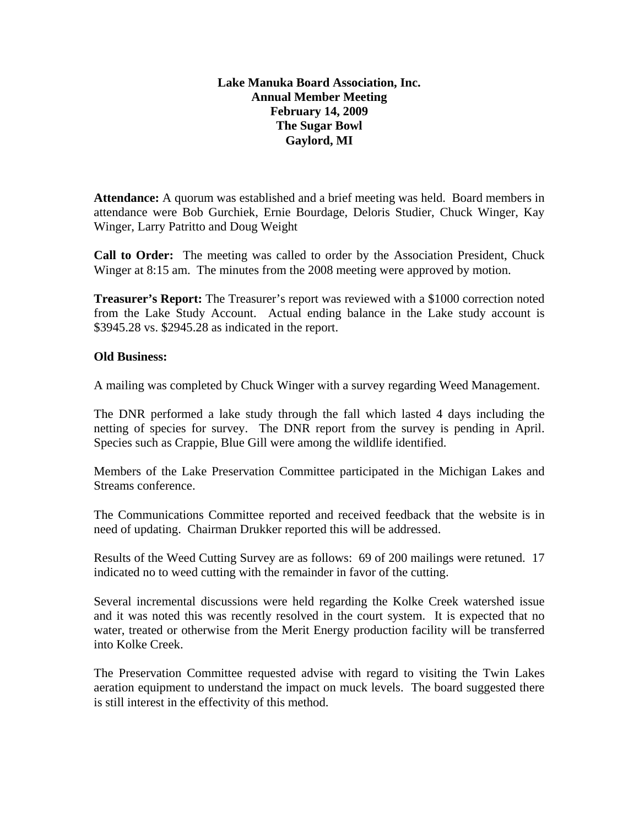## **Lake Manuka Board Association, Inc. Annual Member Meeting February 14, 2009 The Sugar Bowl Gaylord, MI**

**Attendance:** A quorum was established and a brief meeting was held. Board members in attendance were Bob Gurchiek, Ernie Bourdage, Deloris Studier, Chuck Winger, Kay Winger, Larry Patritto and Doug Weight

**Call to Order:** The meeting was called to order by the Association President, Chuck Winger at 8:15 am. The minutes from the 2008 meeting were approved by motion.

**Treasurer's Report:** The Treasurer's report was reviewed with a \$1000 correction noted from the Lake Study Account. Actual ending balance in the Lake study account is \$3945.28 vs. \$2945.28 as indicated in the report.

## **Old Business:**

A mailing was completed by Chuck Winger with a survey regarding Weed Management.

The DNR performed a lake study through the fall which lasted 4 days including the netting of species for survey. The DNR report from the survey is pending in April. Species such as Crappie, Blue Gill were among the wildlife identified.

Members of the Lake Preservation Committee participated in the Michigan Lakes and Streams conference.

The Communications Committee reported and received feedback that the website is in need of updating. Chairman Drukker reported this will be addressed.

Results of the Weed Cutting Survey are as follows: 69 of 200 mailings were retuned. 17 indicated no to weed cutting with the remainder in favor of the cutting.

Several incremental discussions were held regarding the Kolke Creek watershed issue and it was noted this was recently resolved in the court system. It is expected that no water, treated or otherwise from the Merit Energy production facility will be transferred into Kolke Creek.

The Preservation Committee requested advise with regard to visiting the Twin Lakes aeration equipment to understand the impact on muck levels. The board suggested there is still interest in the effectivity of this method.